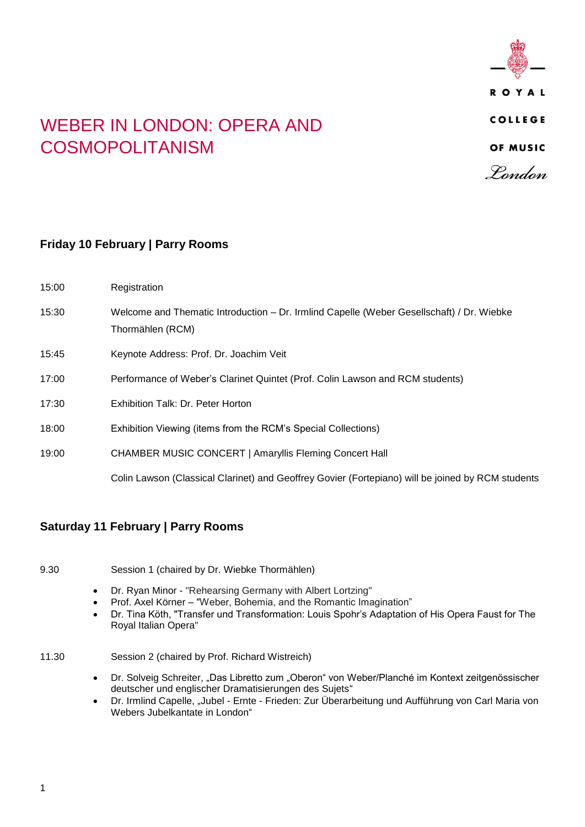

## WEBER IN LONDON: OPERA AND COSMOPOLITANISM

## **Friday 10 February | Parry Rooms**

| 15:00 | Registration                                                                                                  |
|-------|---------------------------------------------------------------------------------------------------------------|
| 15:30 | Welcome and Thematic Introduction – Dr. Irmlind Capelle (Weber Gesellschaft) / Dr. Wiebke<br>Thormählen (RCM) |
| 15:45 | Keynote Address: Prof. Dr. Joachim Veit                                                                       |
| 17:00 | Performance of Weber's Clarinet Quintet (Prof. Colin Lawson and RCM students)                                 |
| 17:30 | Exhibition Talk: Dr. Peter Horton                                                                             |
| 18:00 | Exhibition Viewing (items from the RCM's Special Collections)                                                 |
| 19:00 | <b>CHAMBER MUSIC CONCERT   Amaryllis Fleming Concert Hall</b>                                                 |
|       | Colin Lawson (Classical Clarinet) and Geoffrey Govier (Fortepiano) will be joined by RCM students             |

## **Saturday 11 February | Parry Rooms**

9.30 Session 1 (chaired by Dr. Wiebke Thormählen)

- Dr. Ryan Minor "Rehearsing Germany with Albert Lortzing"
- Prof. Axel Körner "Weber, Bohemia, and the Romantic Imagination"
- Dr. Tina Köth, "Transfer und Transformation: Louis Spohr's Adaptation of His Opera Faust for The Royal Italian Opera"
- 11.30 Session 2 (chaired by Prof. Richard Wistreich)
	- Dr. Solveig Schreiter, "Das Libretto zum "Oberon" von Weber/Planché im Kontext zeitgenössischer deutscher und englischer Dramatisierungen des Sujets"
	- Dr. Irmlind Capelle, "Jubel Ernte Frieden: Zur Überarbeitung und Aufführung von Carl Maria von Webers Jubelkantate in London"